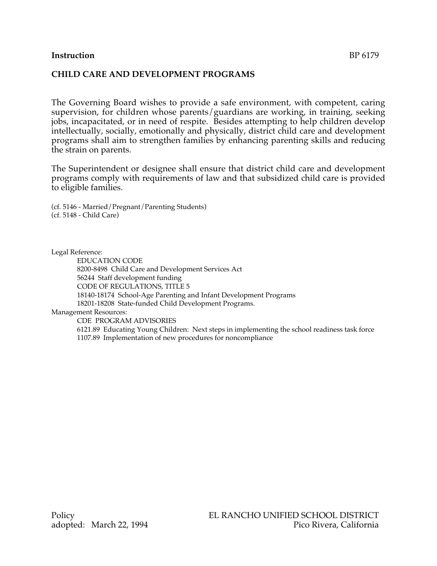## **Instruction** BP 6179

#### **CHILD CARE AND DEVELOPMENT PROGRAMS**

The Governing Board wishes to provide a safe environment, with competent, caring supervision, for children whose parents/guardians are working, in training, seeking jobs, incapacitated, or in need of respite. Besides attempting to help children develop intellectually, socially, emotionally and physically, district child care and development programs shall aim to strengthen families by enhancing parenting skills and reducing the strain on parents.

The Superintendent or designee shall ensure that district child care and development programs comply with requirements of law and that subsidized child care is provided to eligible families.

(cf. 5146 - Married/Pregnant/Parenting Students) (cf. 5148 - Child Care)

Legal Reference:

EDUCATION CODE 8200-8498 Child Care and Development Services Act 56244 Staff development funding CODE OF REGULATIONS, TITLE 5 18140-18174 School-Age Parenting and Infant Development Programs 18201-18208 State-funded Child Development Programs. Management Resources: CDE PROGRAM ADVISORIES 6121.89 Educating Young Children: Next steps in implementing the school readiness task force

1107.89 Implementation of new procedures for noncompliance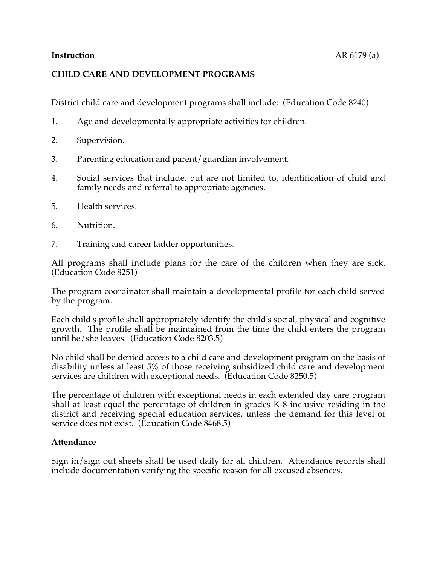#### **Instruction** AR 6179 (a)

### **CHILD CARE AND DEVELOPMENT PROGRAMS**

District child care and development programs shall include: (Education Code 8240)

- 1. Age and developmentally appropriate activities for children.
- 2. Supervision.
- 3. Parenting education and parent/guardian involvement.
- 4. Social services that include, but are not limited to, identification of child and family needs and referral to appropriate agencies.
- 5. Health services.
- 6. Nutrition.
- 7. Training and career ladder opportunities.

All programs shall include plans for the care of the children when they are sick. (Education Code 8251)

The program coordinator shall maintain a developmental profile for each child served by the program.

Each child's profile shall appropriately identify the child's social, physical and cognitive growth. The profile shall be maintained from the time the child enters the program until he/she leaves. (Education Code 8203.5)

No child shall be denied access to a child care and development program on the basis of disability unless at least 5% of those receiving subsidized child care and development services are children with exceptional needs. (Education Code 8250.5)

The percentage of children with exceptional needs in each extended day care program shall at least equal the percentage of children in grades K-8 inclusive residing in the district and receiving special education services, unless the demand for this level of service does not exist. (Education Code 8468.5)

### **Attendance**

Sign in/sign out sheets shall be used daily for all children. Attendance records shall include documentation verifying the specific reason for all excused absences.